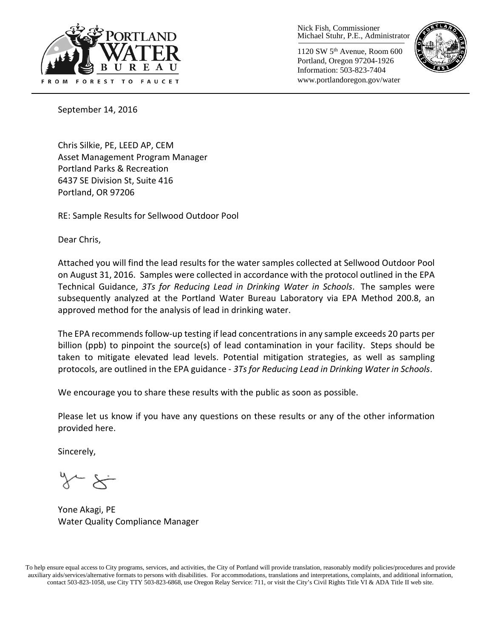

Nick Fish, Commissioner Michael Stuhr, P.E., Administrator

1120 SW 5th Avenue, Room 600 Portland, Oregon 97204-1926 Information: 503-823-7404 www.portlandoregon.gov/water



September 14, 2016

Chris Silkie, PE, LEED AP, CEM Asset Management Program Manager Portland Parks & Recreation 6437 SE Division St, Suite 416 Portland, OR 97206

RE: Sample Results for Sellwood Outdoor Pool

Dear Chris,

Attached you will find the lead results for the water samples collected at Sellwood Outdoor Pool on August 31, 2016. Samples were collected in accordance with the protocol outlined in the EPA Technical Guidance, *3Ts for Reducing Lead in Drinking Water in Schools*. The samples were subsequently analyzed at the Portland Water Bureau Laboratory via EPA Method 200.8, an approved method for the analysis of lead in drinking water.

The EPA recommends follow-up testing if lead concentrations in any sample exceeds 20 parts per billion (ppb) to pinpoint the source(s) of lead contamination in your facility. Steps should be taken to mitigate elevated lead levels. Potential mitigation strategies, as well as sampling protocols, are outlined in the EPA guidance - *3Ts for Reducing Lead in Drinking Water in Schools*.

We encourage you to share these results with the public as soon as possible.

Please let us know if you have any questions on these results or any of the other information provided here.

Sincerely,

Yone Akagi, PE Water Quality Compliance Manager

To help ensure equal access to City programs, services, and activities, the City of Portland will provide translation, reasonably modify policies/procedures and provide auxiliary aids/services/alternative formats to persons with disabilities. For accommodations, translations and interpretations, complaints, and additional information, contact 503-823-1058, use City TTY 503-823-6868, use Oregon Relay Service: 711, or visi[t the City's Civil Rights Title VI & ADA Title II web site.](http://www.portlandoregon.gov/oehr/66458)